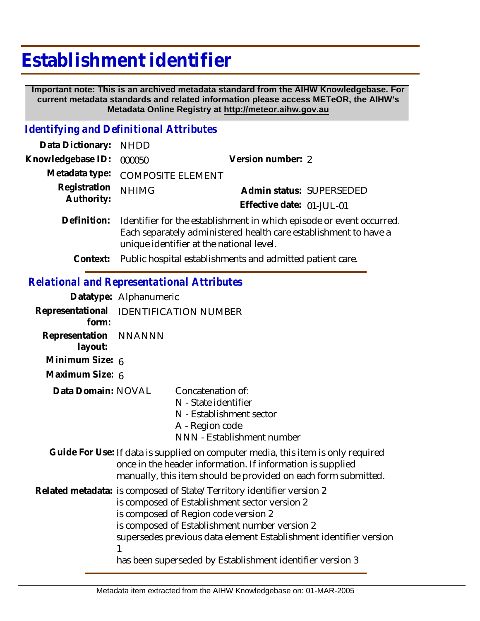# **Establishment identifier**

 **Important note: This is an archived metadata standard from the AIHW Knowledgebase. For current metadata standards and related information please access METeOR, the AIHW's Metadata Online Registry at http://meteor.aihw.gov.au**

## *Identifying and Definitional Attributes*

| Data Dictionary: NHDD      |                                                                                                                                                                                      |                           |                          |
|----------------------------|--------------------------------------------------------------------------------------------------------------------------------------------------------------------------------------|---------------------------|--------------------------|
| Knowledgebase ID:          | 000050                                                                                                                                                                               | Version number: 2         |                          |
|                            | Metadata type: COMPOSITE ELEMENT                                                                                                                                                     |                           |                          |
| Registration<br>Authority: | <b>NHIMG</b>                                                                                                                                                                         | Effective date: 01-JUL-01 | Admin status: SUPERSEDED |
| Definition:                | Identifier for the establishment in which episode or event occurred.<br>Each separately administered health care establishment to have a<br>unique identifier at the national level. |                           |                          |

**Context:** Public hospital establishments and admitted patient care.

## *Relational and Representational Attributes*

|                                  | Datatype: Alphanumeric                                                                                                                                                                                                                                                                                                                            |                                                                                                                        |  |
|----------------------------------|---------------------------------------------------------------------------------------------------------------------------------------------------------------------------------------------------------------------------------------------------------------------------------------------------------------------------------------------------|------------------------------------------------------------------------------------------------------------------------|--|
| form:                            | Representational IDENTIFICATION NUMBER                                                                                                                                                                                                                                                                                                            |                                                                                                                        |  |
| Representation NNANNN<br>layout: |                                                                                                                                                                                                                                                                                                                                                   |                                                                                                                        |  |
| Minimum Size: 6                  |                                                                                                                                                                                                                                                                                                                                                   |                                                                                                                        |  |
| Maximum Size: 6                  |                                                                                                                                                                                                                                                                                                                                                   |                                                                                                                        |  |
| Data Domain: NOVAL               |                                                                                                                                                                                                                                                                                                                                                   | Concatenation of:<br>N - State identifier<br>N - Establishment sector<br>A - Region code<br>NNN - Establishment number |  |
|                                  | Guide For Use: If data is supplied on computer media, this item is only required<br>once in the header information. If information is supplied<br>manually, this item should be provided on each form submitted.                                                                                                                                  |                                                                                                                        |  |
|                                  | Related metadata: is composed of State/Territory identifier version 2<br>is composed of Establishment sector version 2<br>is composed of Region code version 2<br>is composed of Establishment number version 2<br>supersedes previous data element Establishment identifier version<br>has been superseded by Establishment identifier version 3 |                                                                                                                        |  |